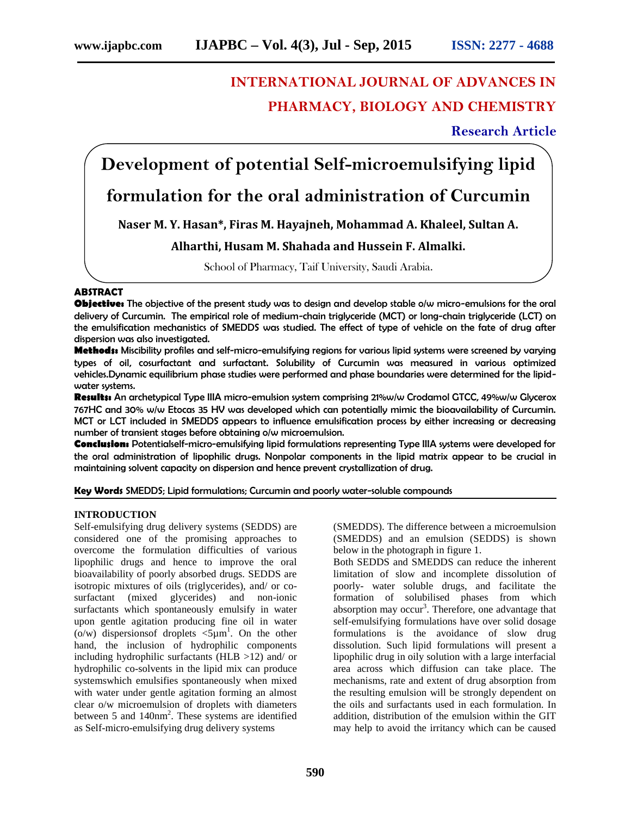# **INTERNATIONAL JOURNAL OF ADVANCES IN PHARMACY, BIOLOGY AND CHEMISTRY**

**Research Article**

# **Development of potential Self-microemulsifying lipid**

# **formulation for the oral administration of Curcumin**

**Naser M. Y. Hasan\*, Firas M. Hayajneh, Mohammad A. Khaleel, Sultan A.**

# **Alharthi, Husam M. Shahada and Hussein F. Almalki.**

School of Pharmacy, Taif University, Saudi Arabia.

# **ABSTRACT**

**Objective:** The objective of the present study was to design and develop stable o/w micro-emulsions for the oral delivery of Curcumin. The empirical role of medium-chain triglyceride (MCT) or long-chain triglyceride (LCT) on the emulsification mechanistics of SMEDDS was studied. The effect of type of vehicle on the fate of drug after dispersion was also investigated.

**Methods:** Miscibility profiles and self-micro-emulsifying regions for various lipid systems were screened by varying types of oil, cosurfactant and surfactant. Solubility of Curcumin was measured in various optimized vehicles.Dynamic equilibrium phase studies were performed and phase boundaries were determined for the lipid water systems.

**Results:** An archetypical Type IIIA micro-emulsion system comprising 21%w/w Crodamol GTCC, 49%w/w Glycerox 767HC and 30% w/w Etocas 35 HV was developed which can potentially mimic the bioavailability of Curcumin. MCT or LCT included in SMEDDS appears to influence emulsification process by either increasing or decreasing number of transient stages before obtaining o/w microemulsion.

**Conclusion:** Potentialself-micro-emulsifying lipid formulations representing Type IIIA systems were developed for the oral administration of lipophilic drugs. Nonpolar components in the lipid matrix appear to be crucial in maintaining solvent capacity on dispersion and hence prevent crystallization of drug.

**Key Words** SMEDDS; Lipid formulations; Curcumin and poorly water-soluble compounds

# **INTRODUCTION**

Self-emulsifying drug delivery systems (SEDDS) are considered one of the promising approaches to overcome the formulation difficulties of various lipophilic drugs and hence to improve the oral bioavailability of poorly absorbed drugs. SEDDS are isotropic mixtures of oils (triglycerides), and/ or co surfactant (mixed glycerides) and non-ionic surfactants which spontaneously emulsify in water upon gentle agitation producing fine oil in water (o/w) dispersions of droplets  $\leq 5\mu m^1$ . On the other hand, the inclusion of hydrophilic components including hydrophilic surfactants (HLB  $>12$ ) and/ or hydrophilic co-solvents in the lipid mix can produce systemswhich emulsifies spontaneously when mixed with water under gentle agitation forming an almost clear o/w microemulsion of droplets with diameters between 5 and  $140 \text{nm}^2$ . These systems are identified as Self-micro-emulsifying drug delivery systems

(SMEDDS). The difference between a microemulsion (SMEDDS) and an emulsion (SEDDS) is shown below in the photograph in figure 1.

Both SEDDS and SMEDDS can reduce the inherent limitation of slow and incomplete dissolution of poorly- water soluble drugs, and facilitate the formation of solubilised phases from which absorption may occur<sup>3</sup>. Therefore, one advantage that self-emulsifying formulations have over solid dosage formulations is the avoidance of slow drug dissolution. Such lipid formulations will present a lipophilic drug in oily solution with a large interfacial area across which diffusion can take place. The mechanisms, rate and extent of drug absorption from the resulting emulsion will be strongly dependent on the oils and surfactants used in each formulation. In addition, distribution of the emulsion within the GIT may help to avoid the irritancy which can be caused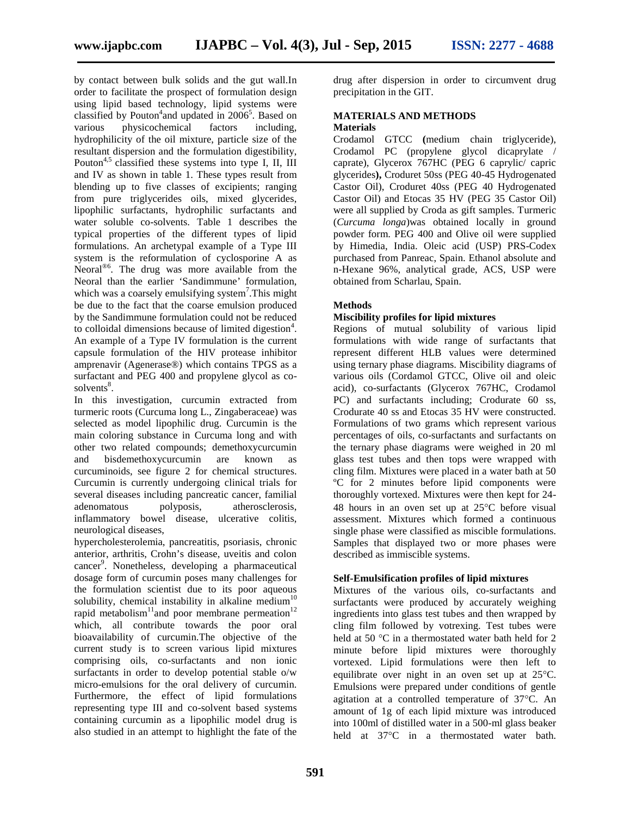by contact between bulk solids and the gut wall.In order to facilitate the prospect of formulation design using lipid based technology, lipid systems were classified by Pouton<sup>4</sup> and updated in  $2006^5$ . Based on various physicochemical factors including, hydrophilicity of the oil mixture, particle size of the resultant dispersion and the formulation digestibility, Pouton<sup>4,5</sup> classified these systems into type I, II, III and IV as shown in table 1. These types result from blending up to five classes of excipients; ranging from pure triglycerides oils, mixed glycerides, lipophilic surfactants, hydrophilic surfactants and water soluble co-solvents. Table 1 describes the typical properties of the different types of lipid formulations. An archetypal example of a Type III system is the reformulation of cyclosporine A as Neoral<sup>®6</sup>. The drug was more available from the Neoral than the earlier 'Sandimmune' formulation, which was a coarsely emulsifying system<sup>7</sup>. This might be due to the fact that the coarse emulsion produced by the Sandimmune formulation could not be reduced to colloidal dimensions because of limited digestion $4$ . An example of a Type IV formulation is the current capsule formulation of the HIV protease inhibitor amprenavir (Agenerase®) which contains TPGS as a surfactant and PEG 400 and propylene glycol as co solvents<sup>8</sup>.

In this investigation, curcumin extracted from turmeric roots (Curcuma long L., Zingaberaceae) was selected as model lipophilic drug. Curcumin is the main coloring substance in Curcuma long and with other two related compounds; demethoxycurcumin and bisdemethoxycurcumin are known as curcuminoids, see figure 2 for chemical structures. Curcumin is currently undergoing clinical trials for several diseases including pancreatic cancer, familial adenomatous polyposis, atherosclerosis, inflammatory bowel disease, ulcerative colitis, neurological diseases,

hypercholesterolemia, pancreatitis, psoriasis, chronic anterior, arthritis, Crohn's disease, uveitis and colon cancer<sup>9</sup>. Nonetheless, developing a pharmaceutical dosage form of curcumin poses many challenges for the formulation scientist due to its poor aqueous solubility, chemical instability in alkaline medium<sup>1</sup> rapid metabolism $11$ and poor membrane permeation $12$ which, all contribute towards the poor oral bioavailability of curcumin.The objective of the current study is to screen various lipid mixtures comprising oils, co-surfactants and non ionic surfactants in order to develop potential stable o/w micro-emulsions for the oral delivery of curcumin. Furthermore, the effect of lipid formulations representing type III and co-solvent based systems containing curcumin as a lipophilic model drug is also studied in an attempt to highlight the fate of the

drug after dispersion in order to circumvent drug precipitation in the GIT.

# **MATERIALS AND METHODS**

# **Materials**

Crodamol GTCC **(**medium chain triglyceride), Crodamol PC (propylene glycol dicaprylate / caprate), Glycerox 767HC (PEG 6 caprylic/ capric glycerides**),** Croduret 50ss (PEG 40-45 Hydrogenated Castor Oil), Croduret 40ss (PEG 40 Hydrogenated Castor Oil) and Etocas 35 HV (PEG 35 Castor Oil) were all supplied by Croda as gift samples. Turmeric (*Curcuma longa*)was obtained locally in ground powder form. PEG 400 and Olive oil were supplied by Himedia, India. Oleic acid (USP) PRS-Codex purchased from Panreac, Spain. Ethanol absolute and n-Hexane 96%, analytical grade, ACS, USP were obtained from Scharlau, Spain.

# **Methods**

# **Miscibility profiles for lipid mixtures**

Regions of mutual solubility of various lipid formulations with wide range of surfactants that represent different HLB values were determined using ternary phase diagrams. Miscibility diagrams of various oils (Cordamol GTCC, Olive oil and oleic acid), co-surfactants (Glycerox 767HC, Crodamol PC) and surfactants including; Crodurate 60 ss, Crodurate 40 ss and Etocas 35 HV were constructed. Formulations of two grams which represent various percentages of oils, co-surfactants and surfactants on the ternary phase diagrams were weighed in 20 ml glass test tubes and then tops were wrapped with cling film. Mixtures were placed in a water bath at 50 ºC for 2 minutes before lipid components were thoroughly vortexed. Mixtures were then kept for 24- 48 hours in an oven set up at  $25^{\circ}$ C before visual assessment. Mixtures which formed a continuous single phase were classified as miscible formulations. Samples that displayed two or more phases were described as immiscible systems.

# **Self-Emulsification profiles of lipid mixtures**

Mixtures of the various oils, co-surfactants and surfactants were produced by accurately weighing ingredients into glass test tubes and then wrapped by cling film followed by votrexing. Test tubes were held at 50  $\degree$ C in a thermostated water bath held for 2 minute before lipid mixtures were thoroughly vortexed. Lipid formulations were then left to equilibrate over night in an oven set up at  $25^{\circ}$ C. Emulsions were prepared under conditions of gentle agitation at a controlled temperature of  $37^{\circ}$ C. An amount of 1g of each lipid mixture was introduced into 100ml of distilled water in a 500-ml glass beaker held at 37°C in a thermostated water bath.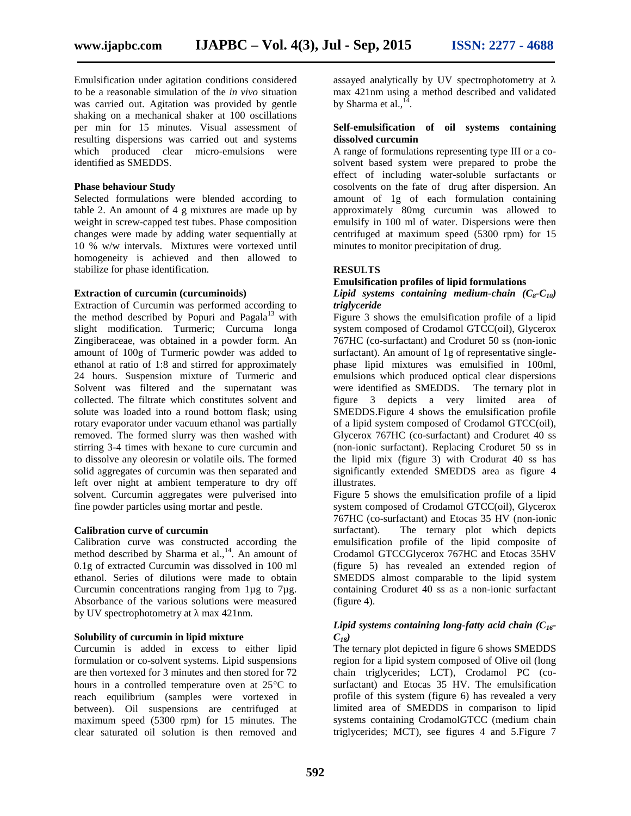Emulsification under agitation conditions considered to be a reasonable simulation of the *in vivo* situation was carried out. Agitation was provided by gentle shaking on a mechanical shaker at 100 oscillations per min for 15 minutes. Visual assessment of resulting dispersions was carried out and systems which produced clear micro-emulsions were identified as SMEDDS.

#### **Phase behaviour Study**

Selected formulations were blended according to table 2. An amount of 4 g mixtures are made up by weight in screw-capped test tubes. Phase composition changes were made by adding water sequentially at 10 % w/w intervals. Mixtures were vortexed until homogeneity is achieved and then allowed to stabilize for phase identification.

#### **Extraction of curcumin (curcuminoids)**

Extraction of Curcumin was performed according to the method described by Popuri and Pagala $13$  with slight modification. Turmeric; Curcuma longa Zingiberaceae, was obtained in a powder form. An amount of 100g of Turmeric powder was added to ethanol at ratio of 1:8 and stirred for approximately 24 hours. Suspension mixture of Turmeric and Solvent was filtered and the supernatant was collected. The filtrate which constitutes solvent and solute was loaded into a round bottom flask; using rotary evaporator under vacuum ethanol was partially removed. The formed slurry was then washed with stirring 3-4 times with hexane to cure curcumin and to dissolve any oleoresin or volatile oils. The formed solid aggregates of curcumin was then separated and left over night at ambient temperature to dry off solvent. Curcumin aggregates were pulverised into fine powder particles using mortar and pestle.

#### **Calibration curve of curcumin**

Calibration curve was constructed according the method described by Sharma et al.,<sup>14</sup>. An amount of 0.1g of extracted Curcumin was dissolved in 100 ml ethanol. Series of dilutions were made to obtain Curcumin concentrations ranging from 1µg to 7µg. Absorbance of the various solutions were measured by UV spectrophotometry at max 421nm.

#### **Solubility of curcumin in lipid mixture**

Curcumin is added in excess to either lipid formulation or co-solvent systems. Lipid suspensions are then vortexed for 3 minutes and then stored for 72 hours in a controlled temperature oven at  $25^{\circ}$ C to reach equilibrium (samples were vortexed in between). Oil suspensions are centrifuged at maximum speed (5300 rpm) for 15 minutes. The clear saturated oil solution is then removed and

assayed analytically by UV spectrophotometry at max 421nm using a method described and validated by Sharma et al.,<sup>14</sup> .

#### **Self-emulsification of oil systems containing dissolved curcumin**

A range of formulations representing type III or a co solvent based system were prepared to probe the effect of including water-soluble surfactants or cosolvents on the fate of drug after dispersion. An amount of 1g of each formulation containing approximately 80mg curcumin was allowed to emulsify in 100 ml of water. Dispersions were then centrifuged at maximum speed (5300 rpm) for 15 minutes to monitor precipitation of drug.

#### **RESULTS**

#### **Emulsification profiles of lipid formulations**

#### *Lipid systems containing medium-chain*  $(C_8 - C_{10})$ *triglyceride*

Figure 3 shows the emulsification profile of a lipid system composed of Crodamol GTCC(oil), Glycerox 767HC (co-surfactant) and Croduret 50 ss (non-ionic surfactant). An amount of 1g of representative single phase lipid mixtures was emulsified in 100ml, emulsions which produced optical clear dispersions were identified as SMEDDS. The ternary plot in figure 3 depicts a very limited area of SMEDDS.Figure 4 shows the emulsification profile of a lipid system composed of Crodamol GTCC(oil), Glycerox 767HC (co-surfactant) and Croduret 40 ss (non-ionic surfactant). Replacing Croduret 50 ss in the lipid mix (figure 3) with Crodurat 40 ss has significantly extended SMEDDS area as figure 4 illustrates.

Figure 5 shows the emulsification profile of a lipid system composed of Crodamol GTCC(oil), Glycerox 767HC (co-surfactant) and Etocas 35 HV (non-ionic surfactant). The ternary plot which depicts emulsification profile of the lipid composite of Crodamol GTCCGlycerox 767HC and Etocas 35HV (figure 5) has revealed an extended region of SMEDDS almost comparable to the lipid system containing Croduret 40 ss as a non-ionic surfactant (figure 4).

# *Lipid systems containing long-fatty acid chain (C16- C18)*

The ternary plot depicted in figure 6 shows SMEDDS region for a lipid system composed of Olive oil (long chain triglycerides; LCT), Crodamol PC (co surfactant) and Etocas 35 HV. The emulsification profile of this system (figure 6) has revealed a very limited area of SMEDDS in comparison to lipid systems containing CrodamolGTCC (medium chain triglycerides; MCT), see figures 4 and 5.Figure 7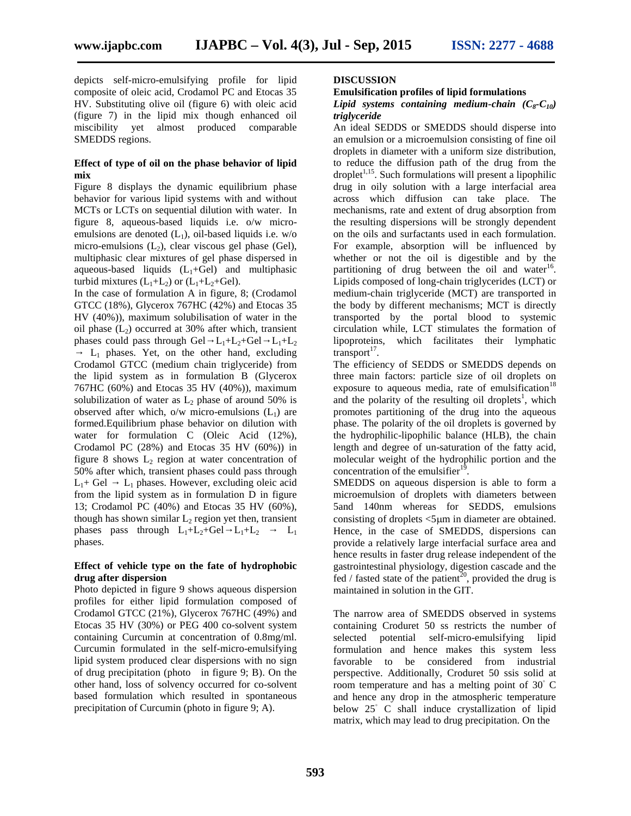depicts self-micro-emulsifying profile for lipid composite of oleic acid, Crodamol PC and Etocas 35 HV. Substituting olive oil (figure 6) with oleic acid (figure 7) in the lipid mix though enhanced oil miscibility yet almost produced comparable SMEDDS regions.

#### **Effect of type of oil on the phase behavior of lipid mix**

Figure 8 displays the dynamic equilibrium phase behavior for various lipid systems with and without MCTs or LCTs on sequential dilution with water. In figure 8, aqueous-based liquids i.e. o/w micro emulsions are denoted  $(L_1)$ , oil-based liquids i.e. w/o micro-emulsions  $(L_2)$ , clear viscous gel phase (Gel), multiphasic clear mixtures of gel phase dispersed in aqueous-based liquids  $(L_1 + Gel)$  and multiphasic turbid mixtures  $(L_1+L_2)$  or  $(L_1+L_2+Ge1)$ .

In the case of formulation A in figure, 8; (Crodamol GTCC (18%), Glycerox 767HC (42%) and Etocas 35 HV (40%)), maximum solubilisation of water in the oil phase  $(L<sub>2</sub>)$  occurred at 30% after which, transient phases could pass through Gel  $L_1+L_2+Ge$ l  $L_1+L_2$ 

 $L_1$  phases. Yet, on the other hand, excluding Crodamol GTCC (medium chain triglyceride) from the lipid system as in formulation B (Glycerox 767HC (60%) and Etocas 35 HV (40%)), maximum solubilization of water as  $L_2$  phase of around 50% is observed after which,  $o/w$  micro-emulsions  $(L<sub>1</sub>)$  are formed.Equilibrium phase behavior on dilution with water for formulation C (Oleic Acid (12%), Crodamol PC (28%) and Etocas 35 HV (60%)) in figure 8 shows  $L_2$  region at water concentration of 50% after which, transient phases could pass through  $L_1$ + Gel  $L_1$  phases. However, excluding oleic acid from the lipid system as in formulation D in figure 13; Crodamol PC (40%) and Etocas 35 HV (60%), though has shown similar  $L_2$  region yet then, transient phases pass through  $L_1+L_2+Gel$   $L_1+L_2$   $L_1$ phases.

#### **Effect of vehicle type on the fate of hydrophobic drug after dispersion**

Photo depicted in figure 9 shows aqueous dispersion profiles for either lipid formulation composed of Crodamol GTCC (21%), Glycerox 767HC (49%) and Etocas 35 HV (30%) or PEG 400 co-solvent system containing Curcumin at concentration of 0.8mg/ml. Curcumin formulated in the self-micro-emulsifying lipid system produced clear dispersions with no sign of drug precipitation (photo in figure 9; B). On the other hand, loss of solvency occurred for co-solvent based formulation which resulted in spontaneous precipitation of Curcumin (photo in figure 9; A).

#### **DISCUSSION**

#### **Emulsification profiles of lipid formulations**

#### *Lipid systems containing medium-chain*  $(C_8 - C_{10})$ *triglyceride*

An ideal SEDDS or SMEDDS should disperse into an emulsion or a microemulsion consisting of fine oil droplets in diameter with a uniform size distribution, to reduce the diffusion path of the drug from the  $droplet<sup>1,15</sup>$ . Such formulations will present a lipophilic drug in oily solution with a large interfacial area across which diffusion can take place. The mechanisms, rate and extent of drug absorption from the resulting dispersions will be strongly dependent on the oils and surfactants used in each formulation. For example, absorption will be influenced by whether or not the oil is digestible and by the partitioning of drug between the oil and water<sup>16</sup>. Lipids composed of long-chain triglycerides (LCT) or medium-chain triglyceride (MCT) are transported in the body by different mechanisms; MCT is directly transported by the portal blood to systemic circulation while, LCT stimulates the formation of lipoproteins, which facilitates their lymphatic  $transport$ <sup>17</sup>.

The efficiency of SEDDS or SMEDDS depends on three main factors: particle size of oil droplets on exposure to aqueous media, rate of emulsification $18$ and the polarity of the resulting oil droplets<sup>1</sup>, which promotes partitioning of the drug into the aqueous phase. The polarity of the oil droplets is governed by the hydrophilic-lipophilic balance (HLB), the chain length and degree of un-saturation of the fatty acid, molecular weight of the hydrophilic portion and the concentration of the emulsifier<sup>19</sup>.

SMEDDS on aqueous dispersion is able to form a microemulsion of droplets with diameters between 5and 140nm whereas for SEDDS, emulsions consisting of droplets  $\leq 5$ um in diameter are obtained. Hence, in the case of SMEDDS, dispersions can provide a relatively large interfacial surface area and hence results in faster drug release independent of the gastrointestinal physiology, digestion cascade and the fed / fasted state of the patient<sup>20</sup>, provided the drug is maintained in solution in the GIT.

The narrow area of SMEDDS observed in systems containing Croduret 50 ss restricts the number of selected potential self-micro-emulsifying lipid formulation and hence makes this system less favorable to be considered from industrial perspective. Additionally, Croduret 50 ssis solid at room temperature and has a melting point of 30 C and hence any drop in the atmospheric temperature below 25 C shall induce crystallization of lipid matrix, which may lead to drug precipitation. On the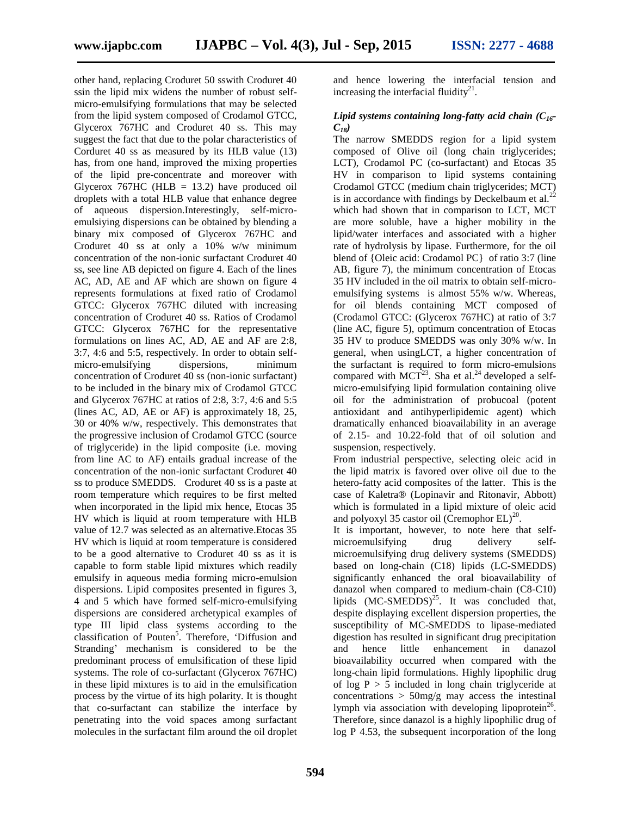other hand, replacing Croduret 50 sswith Croduret 40 ssin the lipid mix widens the number of robust self micro-emulsifying formulations that may be selected from the lipid system composed of Crodamol GTCC, Glycerox 767HC and Croduret 40 ss. This may suggest the fact that due to the polar characteristics of Corduret 40 ss as measured by its HLB value (13) has, from one hand, improved the mixing properties of the lipid pre-concentrate and moreover with Glycerox  $767$ HC (HLB = 13.2) have produced oil droplets with a total HLB value that enhance degree of aqueous dispersion.Interestingly, self-micro emulsiying dispersions can be obtained by blending a binary mix composed of Glycerox 767HC and Croduret 40 ss at only a 10% w/w minimum concentration of the non-ionic surfactant Croduret 40 ss, see line AB depicted on figure 4. Each of the lines AC, AD, AE and AF which are shown on figure 4 represents formulations at fixed ratio of Crodamol GTCC: Glycerox 767HC diluted with increasing concentration of Croduret 40 ss. Ratios of Crodamol GTCC: Glycerox 767HC for the representative formulations on lines AC, AD, AE and AF are 2:8, 3:7, 4:6 and 5:5, respectively. In order to obtain self micro-emulsifying dispersions, minimum concentration of Croduret 40 ss (non-ionic surfactant) to be included in the binary mix of Crodamol GTCC and Glycerox 767HC at ratios of 2:8, 3:7, 4:6 and 5:5 (lines AC, AD, AE or AF) is approximately 18, 25, 30 or 40% w/w, respectively. This demonstrates that the progressive inclusion of Crodamol GTCC (source of triglyceride) in the lipid composite (i.e. moving from line AC to AF) entails gradual increase of the concentration of the non-ionic surfactant Croduret 40 ss to produce SMEDDS. Croduret 40 ss is a paste at room temperature which requires to be first melted when incorporated in the lipid mix hence, Etocas 35 HV which is liquid at room temperature with HLB value of 12.7 was selected as an alternative.Etocas 35 HV which is liquid at room temperature is considered to be a good alternative to Croduret 40 ss as it is capable to form stable lipid mixtures which readily emulsify in aqueous media forming micro-emulsion dispersions. Lipid composites presented in figures 3, 4 and 5 which have formed self-micro-emulsifying dispersions are considered archetypical examples of type III lipid class systems according to the classification of Pouten<sup>5</sup>. Therefore, 'Diffusion and Stranding' mechanism is considered to be the predominant process of emulsification of these lipid systems. The role of co-surfactant (Glycerox 767HC) in these lipid mixtures is to aid in the emulsification process by the virtue of its high polarity. It is thought that co-surfactant can stabilize the interface by penetrating into the void spaces among surfactant molecules in the surfactant film around the oil droplet

and hence lowering the interfacial tension and increasing the interfacial fluidity $^{21}$ .

# *Lipid systems containing long-fatty acid chain (C16- C18)*

The narrow SMEDDS region for a lipid system composed of Olive oil (long chain triglycerides; LCT), Crodamol PC (co-surfactant) and Etocas 35 HV in comparison to lipid systems containing Crodamol GTCC (medium chain triglycerides; MCT) is in accordance with findings by Deckelbaum et al.<sup>22</sup> which had shown that in comparison to LCT, MCT are more soluble, have a higher mobility in the lipid/water interfaces and associated with a higher rate of hydrolysis by lipase. Furthermore, for the oil blend of {Oleic acid: Crodamol PC} of ratio 3:7 (line AB, figure 7), the minimum concentration of Etocas 35 HV included in the oil matrix to obtain self-micro emulsifying systems is almost 55% w/w. Whereas, for oil blends containing MCT composed of (Crodamol GTCC: (Glycerox 767HC) at ratio of 3:7 (line AC, figure 5), optimum concentration of Etocas 35 HV to produce SMEDDS was only 30% w/w. In general, when usingLCT, a higher concentration of the surfactant is required to form micro-emulsions compared with  $MCT^{23}$ . Sha et al.<sup>24</sup> developed a selfmicro-emulsifying lipid formulation containing olive oil for the administration of probucoal (potent antioxidant and antihyperlipidemic agent) which dramatically enhanced bioavailability in an average of 2.15- and 10.22-fold that of oil solution and suspension, respectively.

From industrial perspective, selecting oleic acid in the lipid matrix is favored over olive oil due to the hetero-fatty acid composites of the latter. This is the case of Kaletra® (Lopinavir and Ritonavir, Abbott) which is formulated in a lipid mixture of oleic acid and polyoxyl 35 castor oil (Cremophor  $EL)^{20}$ .

It is important, however, to note here that self microemulsifying drug delivery self microemulsifying drug delivery systems (SMEDDS) based on long-chain (C18) lipids (LC-SMEDDS) significantly enhanced the oral bioavailability of danazol when compared to medium-chain (C8-C10) lipids  $(MC-SMEDDS)^{25}$ . It was concluded that, despite displaying excellent dispersion properties, the susceptibility of MC-SMEDDS to lipase-mediated digestion has resulted in significant drug precipitation and hence little enhancement in danazol bioavailability occurred when compared with the long-chain lipid formulations. Highly lipophilic drug of  $log P > 5$  included in long chain triglyceride at concentrations  $> 50$ mg/g may access the intestinal lymph via association with developing lipoprotein<sup>26</sup>. Therefore, since danazol is a highly lipophilic drug of log P 4.53, the subsequent incorporation of the long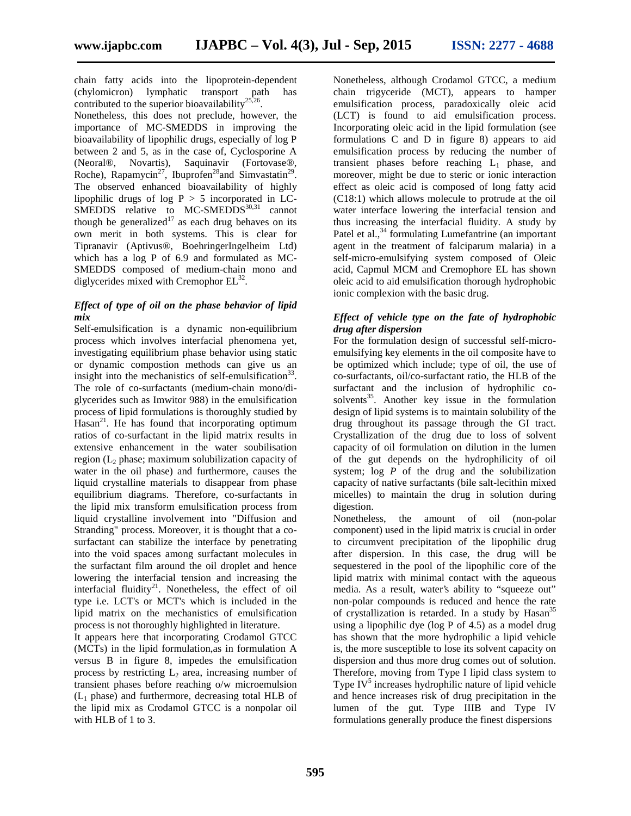chain fatty acids into the lipoprotein-dependent (chylomicron) lymphatic transport path has contributed to the superior bioavailability $^{25,26}$ .

Nonetheless, this does not preclude, however, the importance of MC-SMEDDS in improving the bioavailability of lipophilic drugs, especially of log P between 2 and 5, as in the case of, Cyclosporine A (Neoral®, Novartis), Saquinavir (Fortovase®, Roche), Rapamycin<sup>27</sup>, Ibuprofen<sup>28</sup> and Simvastatin<sup>29</sup>. The observed enhanced bioavailability of highly lipophilic drugs of log  $P > 5$  incorporated in LC- $SMEDDS$  relative to MC-SMEDDS<sup>30,31</sup> cannot though be generalized<sup>17</sup> as each drug behaves on its own merit in both systems. This is clear for Tipranavir (Aptivus®, BoehringerIngelheim Ltd) which has a log P of 6.9 and formulated as MC- SMEDDS composed of medium-chain mono and diglycerides mixed with Cremophor  $EL^{32}$ .

# *Effect of type of oil on the phase behavior of lipid mix*

Self-emulsification is a dynamic non-equilibrium process which involves interfacial phenomena yet, investigating equilibrium phase behavior using static or dynamic compostion methods can give us an insight into the mechanistics of self-emulsification<sup>33</sup>. The role of co-surfactants (medium-chain mono/di glycerides such as Imwitor 988) in the emulsification process of lipid formulations is thoroughly studied by  $Hasan<sup>21</sup>$ . He has found that incorporating optimum ratios of co-surfactant in the lipid matrix results in extensive enhancement in the water soubilisation region  $(L_2)$  phase; maximum solubilization capacity of water in the oil phase) and furthermore, causes the liquid crystalline materials to disappear from phase equilibrium diagrams. Therefore, co-surfactants in the lipid mix transform emulsification process from liquid crystalline involvement into "Diffusion and Stranding" process. Moreover, it is thought that a co surfactant can stabilize the interface by penetrating into the void spaces among surfactant molecules in the surfactant film around the oil droplet and hence lowering the interfacial tension and increasing the interfacial fluidity $21$ . Nonetheless, the effect of oil type i.e. LCT's or MCT's which is included in the lipid matrix on the mechanistics of emulsification process is not thoroughly highlighted in literature.

It appears here that incorporating Crodamol GTCC (MCTs) in the lipid formulation,as in formulation A versus B in figure 8, impedes the emulsification process by restricting  $L_2$  area, increasing number of transient phases before reaching o/w microemulsion  $(L<sub>1</sub>$  phase) and furthermore, decreasing total HLB of the lipid mix as Crodamol GTCC is a nonpolar oil with HLB of 1 to 3.

Nonetheless, although Crodamol GTCC, a medium chain trigyceride (MCT), appears to hamper emulsification process, paradoxically oleic acid (LCT) is found to aid emulsification process. Incorporating oleic acid in the lipid formulation (see formulations C and D in figure 8) appears to aid emulsification process by reducing the number of transient phases before reaching  $L_1$  phase, and moreover, might be due to steric or ionic interaction effect as oleic acid is composed of long fatty acid (C18:1) which allows molecule to protrude at the oil water interface lowering the interfacial tension and thus increasing the interfacial fluidity. A study by Patel et al.,<sup>34</sup> formulating Lumefantrine (an important agent in the treatment of falciparum malaria) in a self-micro-emulsifying system composed of Oleic acid, Capmul MCM and Cremophore EL has shown oleic acid to aid emulsification thorough hydrophobic ionic complexion with the basic drug.

# *Effect of vehicle type on the fate of hydrophobic drug after dispersion*

For the formulation design of successful self-micro emulsifying key elements in the oil composite have to be optimized which include; type of oil, the use of co-surfactants, oil/co-surfactant ratio, the HLB of the surfactant and the inclusion of hydrophilic co solvents<sup>35</sup>. Another key issue in the formulation design of lipid systems is to maintain solubility of the drug throughout its passage through the GI tract. Crystallization of the drug due to loss of solvent capacity of oil formulation on dilution in the lumen of the gut depends on the hydrophilicity of oil system; log *P* of the drug and the solubilization capacity of native surfactants (bile salt-lecithin mixed micelles) to maintain the drug in solution during digestion.

Nonetheless, the amount of oil (non-polar component) used in the lipid matrix is crucial in order to circumvent precipitation of the lipophilic drug after dispersion. In this case, the drug will be sequestered in the pool of the lipophilic core of the lipid matrix with minimal contact with the aqueous media. As a result, water's ability to "squeeze out" non-polar compounds is reduced and hence the rate of crystallization is retarded. In a study by Hasan<sup>35</sup> using a lipophilic dye (log P of 4.5) as a model drug has shown that the more hydrophilic a lipid vehicle is, the more susceptible to lose its solvent capacity on dispersion and thus more drug comes out of solution. Therefore, moving from Type I lipid class system to Type  $IV<sup>5</sup>$  increases hydrophilic nature of lipid vehicle and hence increases risk of drug precipitation in the lumen of the gut. Type IIIB and Type IV formulations generally produce the finest dispersions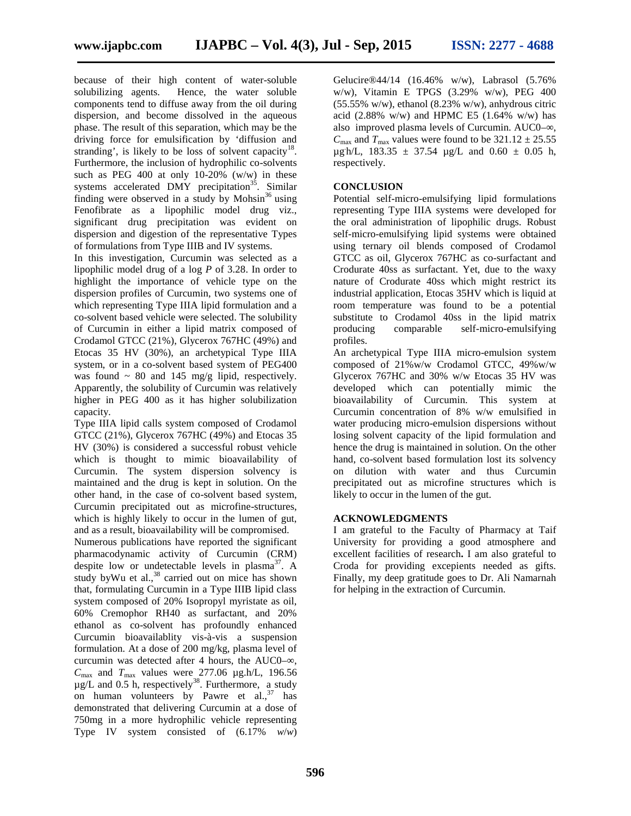because of their high content of water-soluble solubilizing agents. Hence, the water soluble components tend to diffuse away from the oil during dispersion, and become dissolved in the aqueous phase. The result of this separation, which may be the driving force for emulsification by 'diffusion and stranding', is likely to be loss of solvent capacity $18$ . Furthermore, the inclusion of hydrophilic co-solvents such as PEG 400 at only 10-20% (w/w) in these systems accelerated DMY precipitation<sup>35</sup>. Similar finding were observed in a study by Mohsin<sup>36</sup> using Fenofibrate as a lipophilic model drug viz., significant drug precipitation was evident on dispersion and digestion of the representative Types of formulations from Type IIIB and IV systems.

In this investigation, Curcumin was selected as a lipophilic model drug of a log *P* of 3.28. In order to highlight the importance of vehicle type on the dispersion profiles of Curcumin, two systems one of which representing Type IIIA lipid formulation and a co-solvent based vehicle were selected. The solubility of Curcumin in either a lipid matrix composed of Crodamol GTCC (21%), Glycerox 767HC (49%) and Etocas 35 HV (30%), an archetypical Type IIIA system, or in a co-solvent based system of PEG400 was found  $\sim 80$  and 145 mg/g lipid, respectively. Apparently, the solubility of Curcumin was relatively higher in PEG 400 as it has higher solubilization capacity.

Type IIIA lipid calls system composed of Crodamol GTCC (21%), Glycerox 767HC (49%) and Etocas 35 HV (30%) is considered a successful robust vehicle which is thought to mimic bioavailability of Curcumin. The system dispersion solvency is maintained and the drug is kept in solution. On the other hand, in the case of co-solvent based system, Curcumin precipitated out as microfine-structures, which is highly likely to occur in the lumen of gut, and as a result, bioavailability will be compromised.

Numerous publications have reported the significant pharmacodynamic activity of Curcumin (CRM) despite low or undetectable levels in plasma<sup>37</sup>. A study byWu et al.,<sup>38</sup> carried out on mice has shown that, formulating Curcumin in a Type IIIB lipid class system composed of 20% Isopropyl myristate as oil, 60% Cremophor RH40 as surfactant, and 20% ethanol as co-solvent has profoundly enhanced Curcumin bioavailablity vis-à-vis a suspension formulation. At a dose of 200 mg/kg, plasma level of curcumin was detected after 4 hours, the AUC0– $,$  $C_{\text{max}}$  and  $T_{\text{max}}$  values were 277.06  $\mu$ g.h/L, 196.56  $\mu$ g/L and 0.5 h, respectively<sup>38</sup>. Furthermore, a study on human volunteers by Pawre et al., $37$  has demonstrated that delivering Curcumin at a dose of 750mg in a more hydrophilic vehicle representing Type IV system consisted of (6.17% *w*/*w*)

Gelucire®44/14 (16.46% w/w), Labrasol (5.76% w/w), Vitamin E TPGS (3.29% w/w), PEG 400  $(55.55\% \text{ w/w})$ , ethanol  $(8.23\% \text{ w/w})$ , anhydrous citric acid (2.88% w/w) and HPMC E5 (1.64% w/w) has also improved plasma levels of Curcumin. AUC0– $\,$ ,  $C_{\text{max}}$  and  $T_{\text{max}}$  values were found to be  $321.12 \pm 25.55$  $\mu$ g/h/L, 183.35  $\pm$  37.54  $\mu$ g/L and 0.60  $\pm$  0.05 h, respectively.

# **CONCLUSION**

Potential self-micro-emulsifying lipid formulations representing Type IIIA systems were developed for the oral administration of lipophilic drugs. Robust self-micro-emulsifying lipid systems were obtained using ternary oil blends composed of Crodamol GTCC as oil, Glycerox 767HC as co-surfactant and Crodurate 40ss as surfactant. Yet, due to the waxy nature of Crodurate 40ss which might restrict its industrial application, Etocas 35HV which is liquid at room temperature was found to be a potential substitute to Crodamol 40ss in the lipid matrix producing comparable self-micro-emulsifying profiles.

An archetypical Type IIIA micro-emulsion system composed of 21%w/w Crodamol GTCC, 49%w/w Glycerox 767HC and 30% w/w Etocas 35 HV was developed which can potentially mimic the bioavailability of Curcumin. This system at Curcumin concentration of 8% w/w emulsified in water producing micro-emulsion dispersions without losing solvent capacity of the lipid formulation and hence the drug is maintained in solution. On the other hand, co-solvent based formulation lost its solvency on dilution with water and thus Curcumin precipitated out as microfine structures which is likely to occur in the lumen of the gut.

# **ACKNOWLEDGMENTS**

I am grateful to the Faculty of Pharmacy at Taif University for providing a good atmosphere and excellent facilities of research**.** I am also grateful to Croda for providing excepients needed as gifts. Finally, my deep gratitude goes to Dr. Ali Namarnah for helping in the extraction of Curcumin.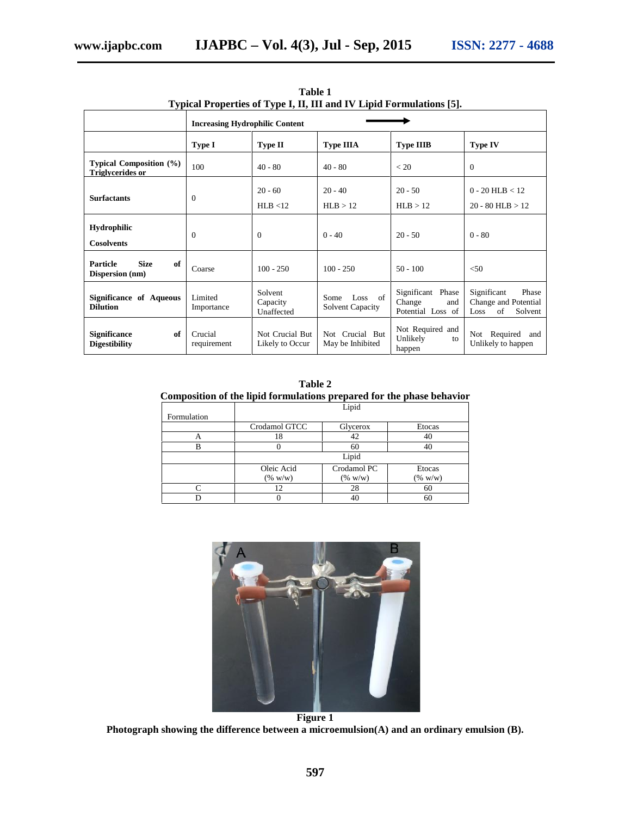|                                                           |                                       |                                    | Typical Properties of Type I, II, III and IV Lipid Formulations (5). |                                                            |                                                                       |
|-----------------------------------------------------------|---------------------------------------|------------------------------------|----------------------------------------------------------------------|------------------------------------------------------------|-----------------------------------------------------------------------|
|                                                           | <b>Increasing Hydrophilic Content</b> |                                    |                                                                      |                                                            |                                                                       |
|                                                           | Type I                                | <b>Type II</b>                     | <b>Type IIIA</b>                                                     | <b>Type IIIB</b>                                           | <b>Type IV</b>                                                        |
| <b>Typical Composition</b> (%)<br><b>Triglycerides or</b> | 100                                   | $40 - 80$                          | $40 - 80$                                                            | < 20                                                       | $\theta$                                                              |
| <b>Surfactants</b>                                        | $\mathbf{0}$                          | $20 - 60$                          | $20 - 40$                                                            | $20 - 50$                                                  | $0 - 20$ HLB < 12                                                     |
|                                                           |                                       | HLB < 12                           | HLB > 12                                                             | HLB > 12                                                   | $20 - 80$ HLB $> 12$                                                  |
| <b>Hydrophilic</b><br><b>Cosolvents</b>                   | $\theta$                              | $\theta$                           | $0 - 40$                                                             | $20 - 50$                                                  | $0 - 80$                                                              |
| <b>Size</b><br>of<br>Particle<br>Dispersion (nm)          | Coarse                                | $100 - 250$                        | $100 - 250$                                                          | $50 - 100$                                                 | < 50                                                                  |
| Significance of Aqueous<br><b>Dilution</b>                | Limited<br>Importance                 | Solvent<br>Capacity<br>Unaffected  | of<br>Some<br>Loss<br><b>Solvent Capacity</b>                        | Significant<br>Phase<br>Change<br>and<br>Potential Loss of | Significant<br>Phase<br>Change and Potential<br>of<br>Solvent<br>Loss |
| Significance<br>of<br><b>Digestibility</b>                | Crucial<br>requirement                | Not Crucial But<br>Likely to Occur | Not Crucial But<br>May be Inhibited                                  | Not Required and<br>Unlikely<br>to<br>happen               | Not Required and<br>Unlikely to happen                                |

**Table 1 Typical Properties of Type I, II, III and IV Lipid Formulations [5].**

**Table 2 Composition of the lipid formulations prepared for the phase behavior**

|             | Lipid         |             |            |  |  |  |  |
|-------------|---------------|-------------|------------|--|--|--|--|
| Formulation |               |             |            |  |  |  |  |
|             | Crodamol GTCC | Glycerox    | Etocas     |  |  |  |  |
| А           | 18            | 42          | 40         |  |  |  |  |
| B           |               | 60          | 40         |  |  |  |  |
|             | Lipid         |             |            |  |  |  |  |
|             | Oleic Acid    | Crodamol PC | Etocas     |  |  |  |  |
|             | $(\% w/w)$    | $(\% w/w)$  | $(\% w/w)$ |  |  |  |  |
|             | 12            | 28          | 60         |  |  |  |  |
|             |               | 40          | 60         |  |  |  |  |



**Photograph showing the difference between a microemulsion(A) and an ordinary emulsion (B).**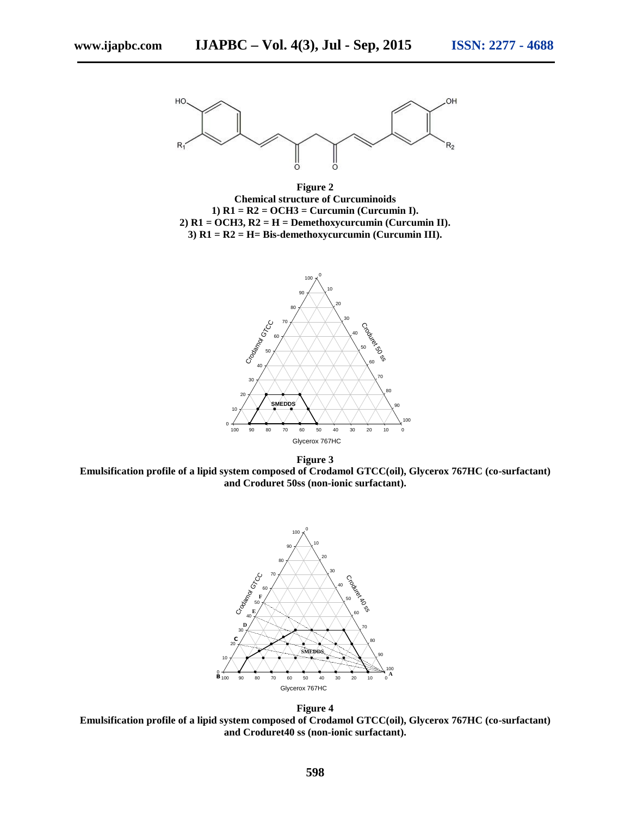

**Figure 2 Chemical structure of Curcuminoids 1) R1 = R2 = OCH3 = Curcumin (Curcumin I). 2) R1 = OCH3, R2 = H = Demethoxycurcumin (Curcumin II). 3) R1 = R2 = H= Bis-demethoxycurcumin (Curcumin III).**



**Figure 3 Emulsification profile of a lipid system composed of Crodamol GTCC(oil), Glycerox 767HC (co-surfactant) and Croduret 50ss (non-ionic surfactant).**



**Figure 4 Emulsification profile of a lipid system composed of Crodamol GTCC(oil), Glycerox 767HC (co-surfactant) and Croduret40 ss (non-ionic surfactant).**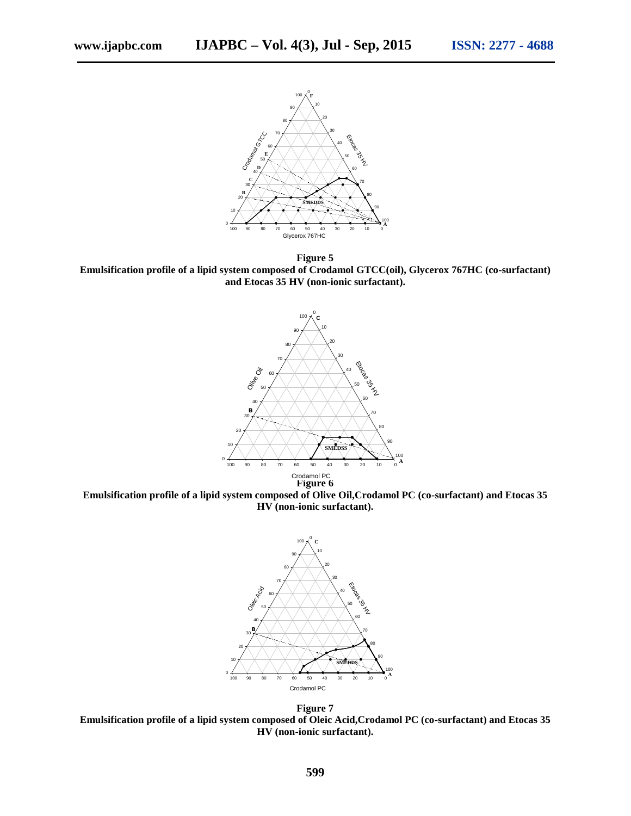

**Figure 5 Emulsification profile of a lipid system composed of Crodamol GTCC(oil), Glycerox 767HC (co-surfactant) and Etocas 35 HV (non-ionic surfactant).**



**Emulsification profile of a lipid system composed of Olive Oil,Crodamol PC (co-surfactant) and Etocas 35 HV (non-ionic surfactant).**



**Figure 7 Emulsification profile of a lipid system composed of Oleic Acid,Crodamol PC (co-surfactant) and Etocas 35 HV (non-ionic surfactant).**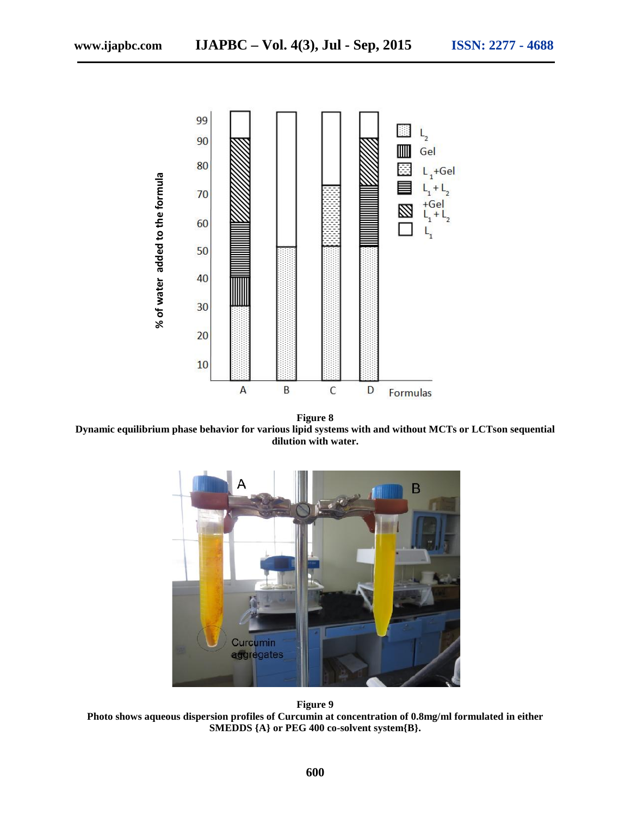

**Figure 8 Dynamic equilibrium phase behavior for various lipid systems with and without MCTs or LCTson sequential dilution with water.**



**Figure 9 Photo shows aqueous dispersion profiles of Curcumin at concentration of 0.8mg/ml formulated in either<br>SMEDDS {A} or PEG 400 co-solvent system{B}.**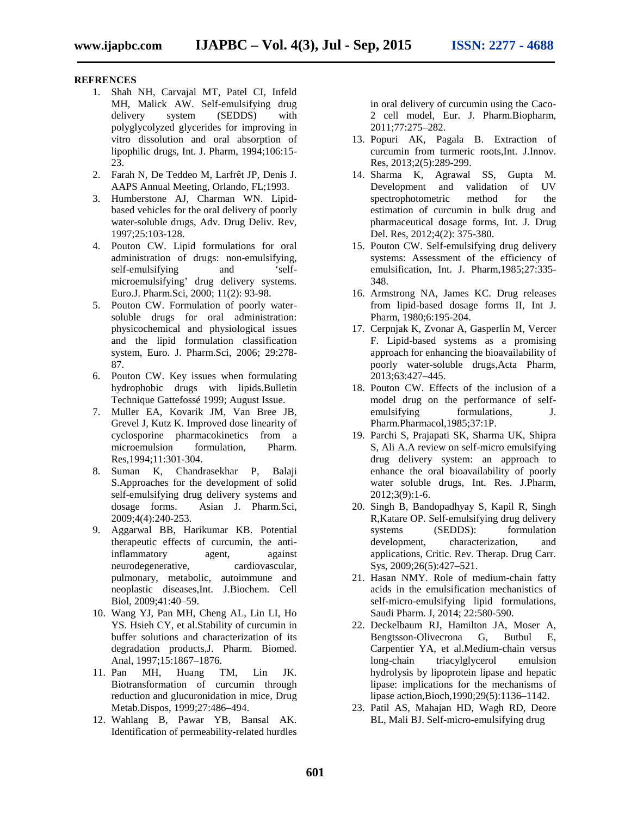#### **REFRENCES**

- 1. Shah NH, Carvajal MT, Patel CI, Infeld MH, Malick AW. Self-emulsifying drug delivery system (SEDDS) with polyglycolyzed glycerides for improving in vitro dissolution and oral absorption of lipophilic drugs, Int. J. Pharm, 1994;106:15- 23.
- 2. Farah N, De Teddeo M, Larfrêt JP, Denis J. AAPS Annual Meeting, Orlando, FL;1993.
- 3. Humberstone AJ, Charman WN. Lipid based vehicles for the oral delivery of poorly water-soluble drugs, Adv. Drug Deliv. Rev, 1997;25:103-128.
- 4. Pouton CW. Lipid formulations for oral administration of drugs: non-emulsifying, self-emulsifying and 'selfmicroemulsifying' drug delivery systems. Euro.J. Pharm.Sci, 2000; 11(2): 93-98.
- 5. Pouton CW. Formulation of poorly water soluble drugs for oral administration: physicochemical and physiological issues and the lipid formulation classification system, Euro. J. Pharm.Sci, 2006; 29:278- 87.
- 6. Pouton CW. Key issues when formulating hydrophobic drugs with lipids.Bulletin Technique Gattefossé 1999; August Issue.
- 7. Muller EA, Kovarik JM, Van Bree JB, Grevel J, Kutz K. Improved dose linearity of cyclosporine pharmacokinetics from a microemulsion formulation, Pharm. Res,1994;11:301-304.
- 8. Suman K, Chandrasekhar P, Balaji S.Approaches for the development of solid self-emulsifying drug delivery systems and dosage forms. Asian J. Pharm.Sci, 2009;4(4):240-253.
- 9. Aggarwal BB, Harikumar KB. Potential therapeutic effects of curcumin, the antiinflammatory agent, against neurodegenerative, cardiovascular, pulmonary, metabolic, autoimmune and neoplastic diseases,Int. J.Biochem. Cell Biol, 2009;41:40–59.
- 10. Wang YJ, Pan MH, Cheng AL, Lin LI, Ho YS. Hsieh CY, et al.Stability of curcumin in buffer solutions and characterization of its degradation products,J. Pharm. Biomed. Anal, 1997;15:1867–1876.
- 11. Pan MH, Huang TM, Lin JK. Biotransformation of curcumin through reduction and glucuronidation in mice, Drug Metab.Dispos, 1999;27:486–494.
- 12. Wahlang B, Pawar YB, Bansal AK. Identification of permeability-related hurdles

in oral delivery of curcumin using the Caco- 2 cell model, Eur. J. Pharm.Biopharm, 2011;77:275–282.

- 13. Popuri AK, Pagala B. Extraction of curcumin from turmeric roots,Int. J.Innov. Res, 2013;2(5):289-299.
- 14. Sharma K, Agrawal SS, Gupta M. Development and validation of UV spectrophotometric method for the estimation of curcumin in bulk drug and pharmaceutical dosage forms, Int. J. Drug Del. Res, 2012;4(2): 375-380.
- 15. Pouton CW. Self-emulsifying drug delivery systems: Assessment of the efficiency of emulsification, Int. J. Pharm,1985;27:335- 348.
- 16. Armstrong NA, James KC. Drug releases from lipid-based dosage forms II, Int J. Pharm, 1980;6:195-204.
- 17. Cerpnjak K, Zvonar A, Gasperlin M, Vercer F. Lipid-based systems as a promising approach for enhancing the bioavailability of poorly water-soluble drugs,Acta Pharm, 2013;63:427–445.
- 18. Pouton CW. Effects of the inclusion of a model drug on the performance of self emulsifying formulations, J. Pharm.Pharmacol,1985;37:1P.
- 19. Parchi S, Prajapati SK, Sharma UK, Shipra S, Ali A.A review on self-micro emulsifying drug delivery system: an approach to enhance the oral bioavailability of poorly water soluble drugs, Int. Res. J.Pharm, 2012;3(9):1-6.
- 20. Singh B, Bandopadhyay S, Kapil R, Singh R,Katare OP. Self-emulsifying drug delivery systems (SEDDS): formulation development, characterization, and applications, Critic. Rev. Therap. Drug Carr. Sys, 2009;26(5):427–521.
- 21. Hasan NMY. Role of medium-chain fatty acids in the emulsification mechanistics of self-micro-emulsifying lipid formulations, Saudi Pharm. J, 2014; 22:580-590.
- 22. Deckelbaum RJ, Hamilton JA, Moser A, Bengtsson-Olivecrona G, Butbul E, Carpentier YA, et al.Medium-chain versus long-chain triacylglycerol emulsion hydrolysis by lipoprotein lipase and hepatic lipase: implications for the mechanisms of lipase action,Bioch,1990;29(5):1136–1142.
- 23. Patil AS, Mahajan HD, Wagh RD, Deore BL, Mali BJ. Self-micro-emulsifying drug